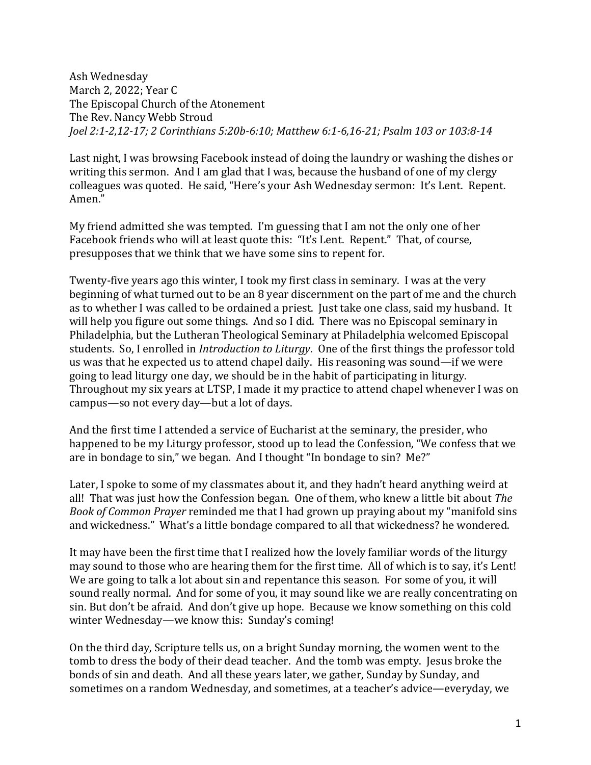Ash Wednesday March 2, 2022; Year C The Episcopal Church of the Atonement The Rev. Nancy Webb Stroud *Joel 2:1-2,12-17; 2 Corinthians 5:20b-6:10; Matthew 6:1-6,16-21; Psalm 103 or 103:8-14*

Last night, I was browsing Facebook instead of doing the laundry or washing the dishes or writing this sermon. And I am glad that I was, because the husband of one of my clergy colleagues was quoted. He said, "Here's your Ash Wednesday sermon: It's Lent. Repent. Amen."

My friend admitted she was tempted. I'm guessing that I am not the only one of her Facebook friends who will at least quote this: "It's Lent. Repent." That, of course, presupposes that we think that we have some sins to repent for.

Twenty-five years ago this winter, I took my first class in seminary. I was at the very beginning of what turned out to be an 8 year discernment on the part of me and the church as to whether I was called to be ordained a priest. Just take one class, said my husband. It will help you figure out some things. And so I did. There was no Episcopal seminary in Philadelphia, but the Lutheran Theological Seminary at Philadelphia welcomed Episcopal students. So, I enrolled in *Introduction to Liturgy*. One of the first things the professor told us was that he expected us to attend chapel daily. His reasoning was sound—if we were going to lead liturgy one day, we should be in the habit of participating in liturgy. Throughout my six years at LTSP, I made it my practice to attend chapel whenever I was on campus—so not every day—but a lot of days.

And the first time I attended a service of Eucharist at the seminary, the presider, who happened to be my Liturgy professor, stood up to lead the Confession, "We confess that we are in bondage to sin," we began. And I thought "In bondage to sin? Me?"

Later, I spoke to some of my classmates about it, and they hadn't heard anything weird at all! That was just how the Confession began. One of them, who knew a little bit about *The Book of Common Prayer* reminded me that I had grown up praying about my "manifold sins and wickedness." What's a little bondage compared to all that wickedness? he wondered.

It may have been the first time that I realized how the lovely familiar words of the liturgy may sound to those who are hearing them for the first time. All of which is to say, it's Lent! We are going to talk a lot about sin and repentance this season. For some of you, it will sound really normal. And for some of you, it may sound like we are really concentrating on sin. But don't be afraid. And don't give up hope. Because we know something on this cold winter Wednesday—we know this: Sunday's coming!

On the third day, Scripture tells us, on a bright Sunday morning, the women went to the tomb to dress the body of their dead teacher. And the tomb was empty. Jesus broke the bonds of sin and death. And all these years later, we gather, Sunday by Sunday, and sometimes on a random Wednesday, and sometimes, at a teacher's advice—everyday, we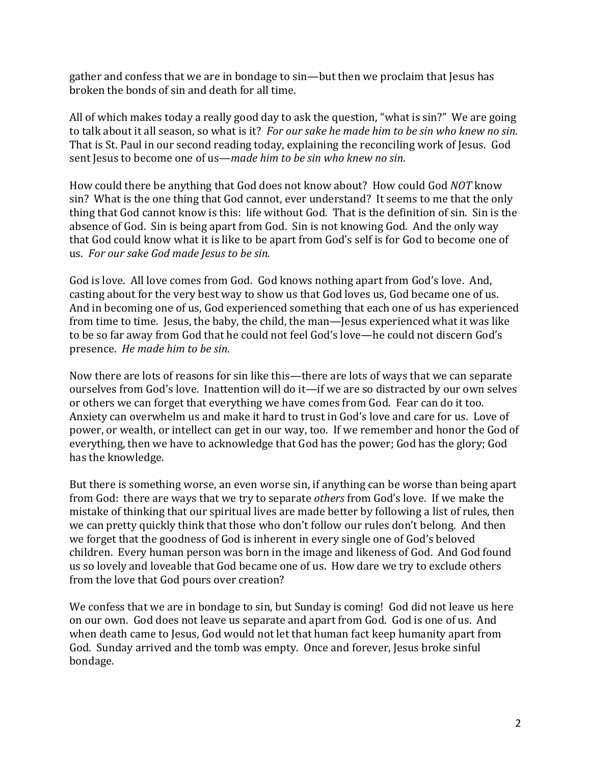gather and confess that we are in bondage to sin—but then we proclaim that Jesus has broken the bonds of sin and death for all time.

All of which makes today a really good day to ask the question, "what is sin?" We are going to talk about it all season, so what is it? *For our sake he made him to be sin who knew no sin.*  That is St. Paul in our second reading today, explaining the reconciling work of Jesus. God sent Jesus to become one of us—*made him to be sin who knew no sin.*

How could there be anything that God does not know about? How could God *NOT* know sin? What is the one thing that God cannot, ever understand? It seems to me that the only thing that God cannot know is this: life without God. That is the definition of sin. Sin is the absence of God. Sin is being apart from God. Sin is not knowing God. And the only way that God could know what it is like to be apart from God's self is for God to become one of us. *For our sake God made Jesus to be sin.*

God is love. All love comes from God. God knows nothing apart from God's love. And, casting about for the very best way to show us that God loves us, God became one of us. And in becoming one of us, God experienced something that each one of us has experienced from time to time. Jesus, the baby, the child, the man—Jesus experienced what it was like to be so far away from God that he could not feel God's love—he could not discern God's presence. *He made him to be sin.*

Now there are lots of reasons for sin like this—there are lots of ways that we can separate ourselves from God's love. Inattention will do it—if we are so distracted by our own selves or others we can forget that everything we have comes from God. Fear can do it too. Anxiety can overwhelm us and make it hard to trust in God's love and care for us. Love of power, or wealth, or intellect can get in our way, too. If we remember and honor the God of everything, then we have to acknowledge that God has the power; God has the glory; God has the knowledge.

But there is something worse, an even worse sin, if anything can be worse than being apart from God: there are ways that we try to separate *others* from God's love. If we make the mistake of thinking that our spiritual lives are made better by following a list of rules, then we can pretty quickly think that those who don't follow our rules don't belong. And then we forget that the goodness of God is inherent in every single one of God's beloved children. Every human person was born in the image and likeness of God. And God found us so lovely and loveable that God became one of us. How dare we try to exclude others from the love that God pours over creation?

We confess that we are in bondage to sin, but Sunday is coming! God did not leave us here on our own. God does not leave us separate and apart from God. God is one of us. And when death came to Jesus, God would not let that human fact keep humanity apart from God. Sunday arrived and the tomb was empty. Once and forever, Jesus broke sinful bondage.